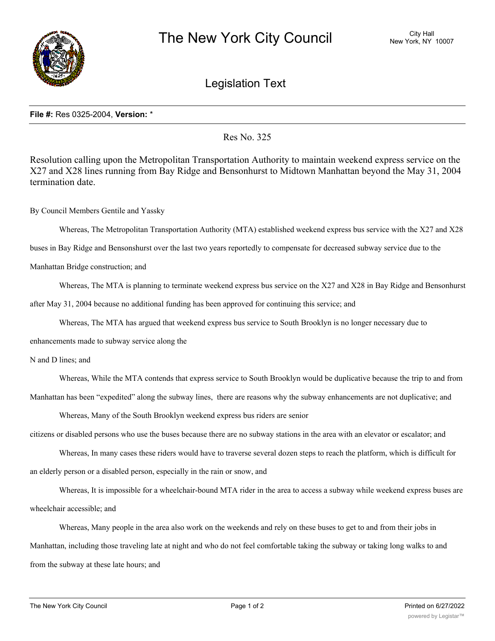

## Legislation Text

## **File #:** Res 0325-2004, **Version:** \*

Res No. 325

Resolution calling upon the Metropolitan Transportation Authority to maintain weekend express service on the X27 and X28 lines running from Bay Ridge and Bensonhurst to Midtown Manhattan beyond the May 31, 2004 termination date.

By Council Members Gentile and Yassky

Whereas, The Metropolitan Transportation Authority (MTA) established weekend express bus service with the X27 and X28

buses in Bay Ridge and Bensonshurst over the last two years reportedly to compensate for decreased subway service due to the

Manhattan Bridge construction; and

Whereas, The MTA is planning to terminate weekend express bus service on the X27 and X28 in Bay Ridge and Bensonhurst after May 31, 2004 because no additional funding has been approved for continuing this service; and

Whereas, The MTA has argued that weekend express bus service to South Brooklyn is no longer necessary due to

enhancements made to subway service along the

N and D lines; and

Whereas, While the MTA contends that express service to South Brooklyn would be duplicative because the trip to and from Manhattan has been "expedited" along the subway lines, there are reasons why the subway enhancements are not duplicative; and

Whereas, Many of the South Brooklyn weekend express bus riders are senior

citizens or disabled persons who use the buses because there are no subway stations in the area with an elevator or escalator; and

Whereas, In many cases these riders would have to traverse several dozen steps to reach the platform, which is difficult for an elderly person or a disabled person, especially in the rain or snow, and

Whereas, It is impossible for a wheelchair-bound MTA rider in the area to access a subway while weekend express buses are wheelchair accessible; and

Whereas, Many people in the area also work on the weekends and rely on these buses to get to and from their jobs in Manhattan, including those traveling late at night and who do not feel comfortable taking the subway or taking long walks to and from the subway at these late hours; and